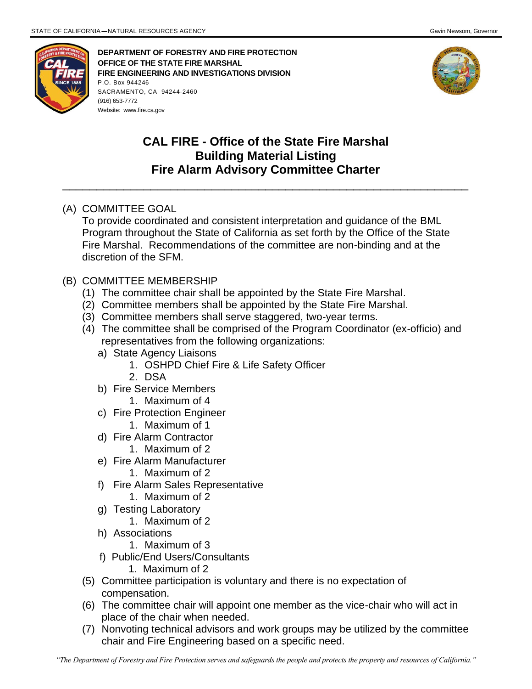

**DEPARTMENT OF FORESTRY AND FIRE PROTECTION OFFICE OF THE STATE FIRE MARSHAL FIRE ENGINEERING AND INVESTIGATIONS DIVISION** P.O. Box 944246 SACRAMENTO, CA 94244-2460 (916) 653-7772 Website: [www.fire.ca.gov](http://www.fire.ca.gov/)



## **CAL FIRE - Office of the State Fire Marshal Building Material Listing Fire Alarm Advisory Committee Charter**

\_\_\_\_\_\_\_\_\_\_\_\_\_\_\_\_\_\_\_\_\_\_\_\_\_\_\_\_\_\_\_\_\_\_\_\_\_\_\_\_\_\_\_\_\_\_\_\_\_\_\_\_\_\_\_\_\_\_\_\_

## (A) COMMITTEE GOAL

To provide coordinated and consistent interpretation and guidance of the BML Program throughout the State of California as set forth by the Office of the State Fire Marshal. Recommendations of the committee are non-binding and at the discretion of the SFM.

## (B) COMMITTEE MEMBERSHIP

- (1) The committee chair shall be appointed by the State Fire Marshal.
- (2) Committee members shall be appointed by the State Fire Marshal.
- (3) Committee members shall serve staggered, two-year terms.
- (4) The committee shall be comprised of the Program Coordinator (ex-officio) and representatives from the following organizations:
	- a) State Agency Liaisons
		- 1. OSHPD Chief Fire & Life Safety Officer
		- 2. DSA
	- b) Fire Service Members
		- 1. Maximum of 4
	- c) Fire Protection Engineer
		- 1. Maximum of 1
	- d) Fire Alarm Contractor
		- 1. Maximum of 2
	- e) Fire Alarm Manufacturer
		- 1. Maximum of 2
	- f) Fire Alarm Sales Representative
		- 1. Maximum of 2
	- g) Testing Laboratory
		- 1. Maximum of 2
	- h) Associations
		- 1. Maximum of 3
	- f) Public/End Users/Consultants
		- 1. Maximum of 2
- (5) Committee participation is voluntary and there is no expectation of compensation.
- (6) The committee chair will appoint one member as the vice-chair who will act in place of the chair when needed.
- (7) Nonvoting technical advisors and work groups may be utilized by the committee chair and Fire Engineering based on a specific need.